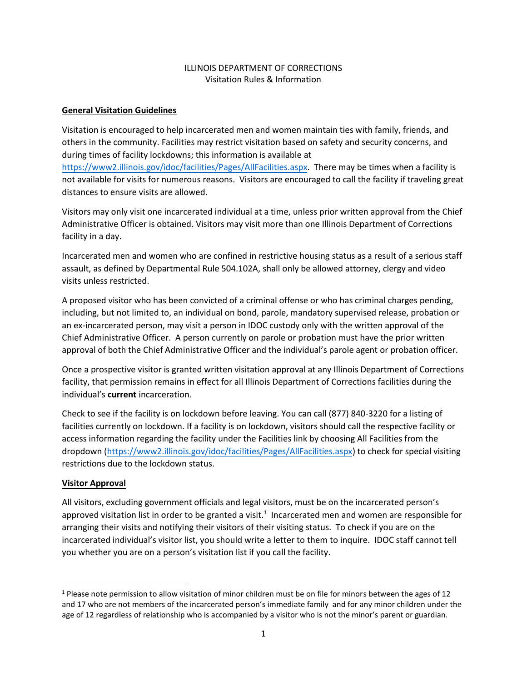### ILLINOIS DEPARTMENT OF CORRECTIONS Visitation Rules & Information

#### **General Visitation Guidelines**

Visitation is encouraged to help incarcerated men and women maintain ties with family, friends, and others in the community. Facilities may restrict visitation based on safety and security concerns, and during times of facility lockdowns; this information is available at

[https://www2.illinois.gov/idoc/facilities/Pages/AllFacilities.aspx.](https://www2.illinois.gov/idoc/facilities/Pages/AllFacilities.aspx) There may be times when a facility is not available for visits for numerous reasons. Visitors are encouraged to call the facility if traveling great distances to ensure visits are allowed.

Visitors may only visit one incarcerated individual at a time, unless prior written approval from the Chief Administrative Officer is obtained. Visitors may visit more than one Illinois Department of Corrections facility in a day.

Incarcerated men and women who are confined in restrictive housing status as a result of a serious staff assault, as defined by Departmental Rule 504.102A, shall only be allowed attorney, clergy and video visits unless restricted.

A proposed visitor who has been convicted of a criminal offense or who has criminal charges pending, including, but not limited to, an individual on bond, parole, mandatory supervised release, probation or an ex-incarcerated person, may visit a person in IDOC custody only with the written approval of the Chief Administrative Officer. A person currently on parole or probation must have the prior written approval of both the Chief Administrative Officer and the individual's parole agent or probation officer.

Once a prospective visitor is granted written visitation approval at any Illinois Department of Corrections facility, that permission remains in effect for all Illinois Department of Corrections facilities during the individual's **current** incarceration.

Check to see if the facility is on lockdown before leaving. You can call (877) 840-3220 for a listing of facilities currently on lockdown. If a facility is on lockdown, visitors should call the respective facility or access information regarding the facility under the Facilities link by choosing All Facilities from the dropdown [\(https://www2.illinois.gov/idoc/facilities/Pages/AllFacilities.aspx\)](https://www2.illinois.gov/idoc/facilities/Pages/AllFacilities.aspx) to check for special visiting restrictions due to the lockdown status.

#### **Visitor Approval**

All visitors, excluding government officials and legal visitors, must be on the incarcerated person's approved visitation list in order to be granted a visit.<sup>1</sup> Incarcerated men and women are responsible for arranging their visits and notifying their visitors of their visiting status. To check if you are on the incarcerated individual's visitor list, you should write a letter to them to inquire. IDOC staff cannot tell you whether you are on a person's visitation list if you call the facility.

 $1$  Please note permission to allow visitation of minor children must be on file for minors between the ages of 12 and 17 who are not members of the incarcerated person's immediate family and for any minor children under the age of 12 regardless of relationship who is accompanied by a visitor who is not the minor's parent or guardian.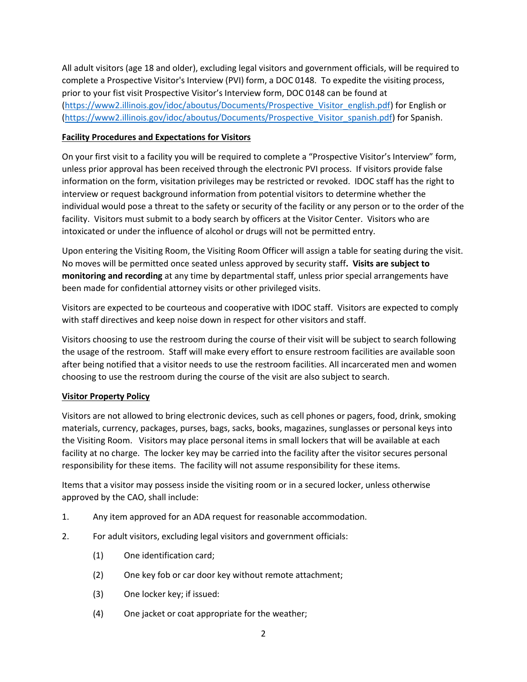All adult visitors (age 18 and older), excluding legal visitors and government officials, will be required to complete a Prospective Visitor's Interview (PVI) form, a DOC 0148. To expedite the visiting process, prior to your fist visit Prospective Visitor's Interview form, DOC 0148 can be found at [\(https://www2.illinois.gov/idoc/aboutus/Documents/Prospective\\_Visitor\\_english.pdf\)](https://www2.illinois.gov/idoc/aboutus/Documents/Prospective_Visitor_english.pdf) for English or [\(https://www2.illinois.gov/idoc/aboutus/Documents/Prospective\\_Visitor\\_spanish.pdf\)](https://www2.illinois.gov/idoc/aboutus/Documents/Prospective_Visitor_spanish.pdf) for Spanish.

# **Facility Procedures and Expectations for Visitors**

On your first visit to a facility you will be required to complete a "Prospective Visitor's Interview" form, unless prior approval has been received through the electronic PVI process. If visitors provide false information on the form, visitation privileges may be restricted or revoked. IDOC staff has the right to interview or request background information from potential visitors to determine whether the individual would pose a threat to the safety or security of the facility or any person or to the order of the facility. Visitors must submit to a body search by officers at the Visitor Center. Visitors who are intoxicated or under the influence of alcohol or drugs will not be permitted entry.

Upon entering the Visiting Room, the Visiting Room Officer will assign a table for seating during the visit. No moves will be permitted once seated unless approved by security staff**. Visits are subject to monitoring and recording** at any time by departmental staff, unless prior special arrangements have been made for confidential attorney visits or other privileged visits.

Visitors are expected to be courteous and cooperative with IDOC staff. Visitors are expected to comply with staff directives and keep noise down in respect for other visitors and staff.

Visitors choosing to use the restroom during the course of their visit will be subject to search following the usage of the restroom. Staff will make every effort to ensure restroom facilities are available soon after being notified that a visitor needs to use the restroom facilities. All incarcerated men and women choosing to use the restroom during the course of the visit are also subject to search.

# **Visitor Property Policy**

Visitors are not allowed to bring electronic devices, such as cell phones or pagers, food, drink, smoking materials, currency, packages, purses, bags, sacks, books, magazines, sunglasses or personal keys into the Visiting Room. Visitors may place personal items in small lockers that will be available at each facility at no charge. The locker key may be carried into the facility after the visitor secures personal responsibility for these items. The facility will not assume responsibility for these items.

Items that a visitor may possess inside the visiting room or in a secured locker, unless otherwise approved by the CAO, shall include:

- 1. Any item approved for an ADA request for reasonable accommodation.
- 2. For adult visitors, excluding legal visitors and government officials:
	- (1) One identification card;
	- (2) One key fob or car door key without remote attachment;
	- (3) One locker key; if issued:
	- (4) One jacket or coat appropriate for the weather;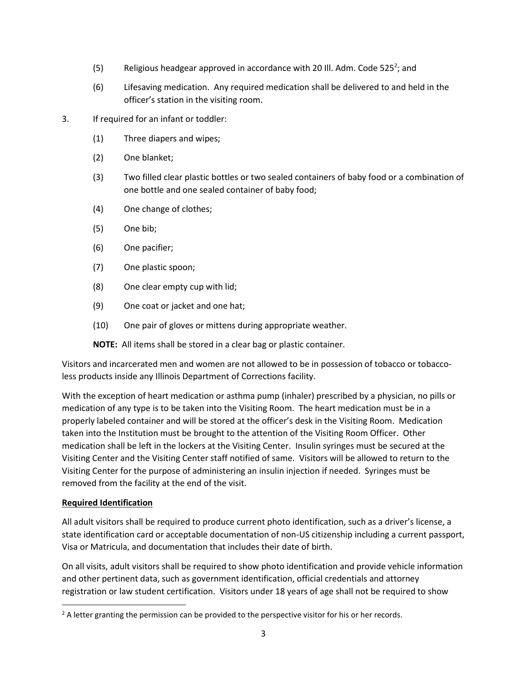- (5) Religious headgear approved in accordance with 20 III. Adm. Code 525<sup>2</sup>; and
- (6) Lifesaving medication. Any required medication shall be delivered to and held in the officer's station in the visiting room.
- 3. If required for an infant or toddler:
	- (1) Three diapers and wipes;
	- (2) One blanket;
	- (3) Two filled clear plastic bottles or two sealed containers of baby food or a combination of one bottle and one sealed container of baby food;
	- (4) One change of clothes;
	- (5) One bib;
	- (6) One pacifier;
	- (7) One plastic spoon;
	- (8) One clear empty cup with lid;
	- (9) One coat or jacket and one hat;
	- (10) One pair of gloves or mittens during appropriate weather.

**NOTE:** All items shall be stored in a clear bag or plastic container.

Visitors and incarcerated men and women are not allowed to be in possession of tobacco or tobaccoless products inside any Illinois Department of Corrections facility.

With the exception of heart medication or asthma pump (inhaler) prescribed by a physician, no pills or medication of any type is to be taken into the Visiting Room. The heart medication must be in a properly labeled container and will be stored at the officer's desk in the Visiting Room. Medication taken into the Institution must be brought to the attention of the Visiting Room Officer. Other medication shall be left in the lockers at the Visiting Center. Insulin syringes must be secured at the Visiting Center and the Visiting Center staff notified of same. Visitors will be allowed to return to the Visiting Center for the purpose of administering an insulin injection if needed. Syringes must be removed from the facility at the end of the visit.

#### **Required Identification**

All adult visitors shall be required to produce current photo identification, such as a driver's license, a state identification card or acceptable documentation of non-US citizenship including a current passport, Visa or Matricula, and documentation that includes their date of birth.

On all visits, adult visitors shall be required to show photo identification and provide vehicle information and other pertinent data, such as government identification, official credentials and attorney registration or law student certification. Visitors under 18 years of age shall not be required to show

<sup>&</sup>lt;sup>2</sup> A letter granting the permission can be provided to the perspective visitor for his or her records.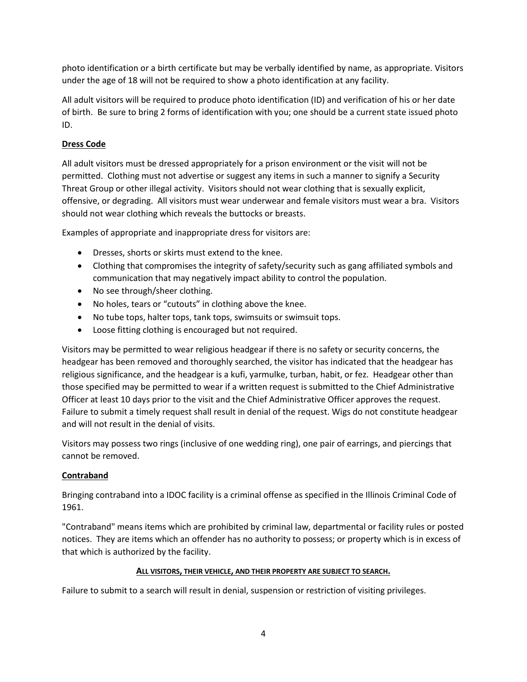photo identification or a birth certificate but may be verbally identified by name, as appropriate. Visitors under the age of 18 will not be required to show a photo identification at any facility.

All adult visitors will be required to produce photo identification (ID) and verification of his or her date of birth. Be sure to bring 2 forms of identification with you; one should be a current state issued photo ID.

# **Dress Code**

All adult visitors must be dressed appropriately for a prison environment or the visit will not be permitted. Clothing must not advertise or suggest any items in such a manner to signify a Security Threat Group or other illegal activity. Visitors should not wear clothing that is sexually explicit, offensive, or degrading. All visitors must wear underwear and female visitors must wear a bra. Visitors should not wear clothing which reveals the buttocks or breasts.

Examples of appropriate and inappropriate dress for visitors are:

- Dresses, shorts or skirts must extend to the knee.
- Clothing that compromises the integrity of safety/security such as gang affiliated symbols and communication that may negatively impact ability to control the population.
- No see through/sheer clothing.
- No holes, tears or "cutouts" in clothing above the knee.
- No tube tops, halter tops, tank tops, swimsuits or swimsuit tops.
- Loose fitting clothing is encouraged but not required.

Visitors may be permitted to wear religious headgear if there is no safety or security concerns, the headgear has been removed and thoroughly searched, the visitor has indicated that the headgear has religious significance, and the headgear is a kufi, yarmulke, turban, habit, or fez. Headgear other than those specified may be permitted to wear if a written request is submitted to the Chief Administrative Officer at least 10 days prior to the visit and the Chief Administrative Officer approves the request. Failure to submit a timely request shall result in denial of the request. Wigs do not constitute headgear and will not result in the denial of visits.

Visitors may possess two rings (inclusive of one wedding ring), one pair of earrings, and piercings that cannot be removed.

# **Contraband**

Bringing contraband into a IDOC facility is a criminal offense as specified in the Illinois Criminal Code of 1961.

"Contraband" means items which are prohibited by criminal law, departmental or facility rules or posted notices. They are items which an offender has no authority to possess; or property which is in excess of that which is authorized by the facility.

# **ALL VISITORS, THEIR VEHICLE, AND THEIR PROPERTY ARE SUBJECT TO SEARCH.**

Failure to submit to a search will result in denial, suspension or restriction of visiting privileges.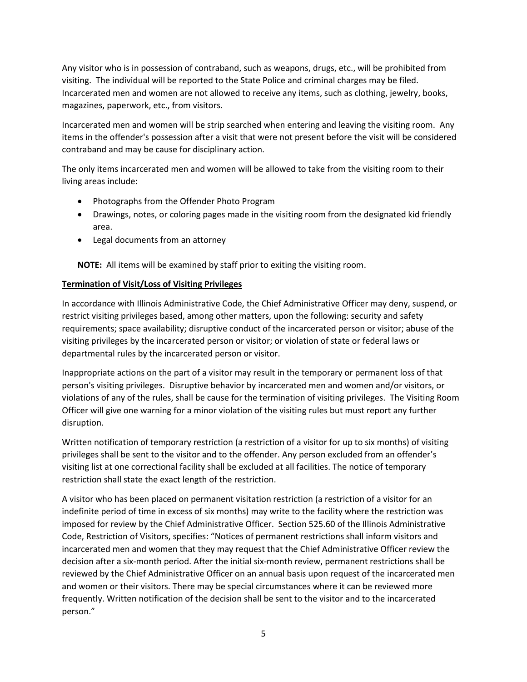Any visitor who is in possession of contraband, such as weapons, drugs, etc., will be prohibited from visiting. The individual will be reported to the State Police and criminal charges may be filed. Incarcerated men and women are not allowed to receive any items, such as clothing, jewelry, books, magazines, paperwork, etc., from visitors.

Incarcerated men and women will be strip searched when entering and leaving the visiting room. Any items in the offender's possession after a visit that were not present before the visit will be considered contraband and may be cause for disciplinary action.

The only items incarcerated men and women will be allowed to take from the visiting room to their living areas include:

- Photographs from the Offender Photo Program
- Drawings, notes, or coloring pages made in the visiting room from the designated kid friendly area.
- Legal documents from an attorney

**NOTE:** All items will be examined by staff prior to exiting the visiting room.

### **Termination of Visit/Loss of Visiting Privileges**

In accordance with Illinois Administrative Code, the Chief Administrative Officer may deny, suspend, or restrict visiting privileges based, among other matters, upon the following: security and safety requirements; space availability; disruptive conduct of the incarcerated person or visitor; abuse of the visiting privileges by the incarcerated person or visitor; or violation of state or federal laws or departmental rules by the incarcerated person or visitor.

Inappropriate actions on the part of a visitor may result in the temporary or permanent loss of that person's visiting privileges. Disruptive behavior by incarcerated men and women and/or visitors, or violations of any of the rules, shall be cause for the termination of visiting privileges. The Visiting Room Officer will give one warning for a minor violation of the visiting rules but must report any further disruption.

Written notification of temporary restriction (a restriction of a visitor for up to six months) of visiting privileges shall be sent to the visitor and to the offender. Any person excluded from an offender's visiting list at one correctional facility shall be excluded at all facilities. The notice of temporary restriction shall state the exact length of the restriction.

A visitor who has been placed on permanent visitation restriction (a restriction of a visitor for an indefinite period of time in excess of six months) may write to the facility where the restriction was imposed for review by the Chief Administrative Officer. Section 525.60 of the Illinois Administrative Code, Restriction of Visitors, specifies: "Notices of permanent restrictions shall inform visitors and incarcerated men and women that they may request that the Chief Administrative Officer review the decision after a six-month period. After the initial six-month review, permanent restrictions shall be reviewed by the Chief Administrative Officer on an annual basis upon request of the incarcerated men and women or their visitors. There may be special circumstances where it can be reviewed more frequently. Written notification of the decision shall be sent to the visitor and to the incarcerated person."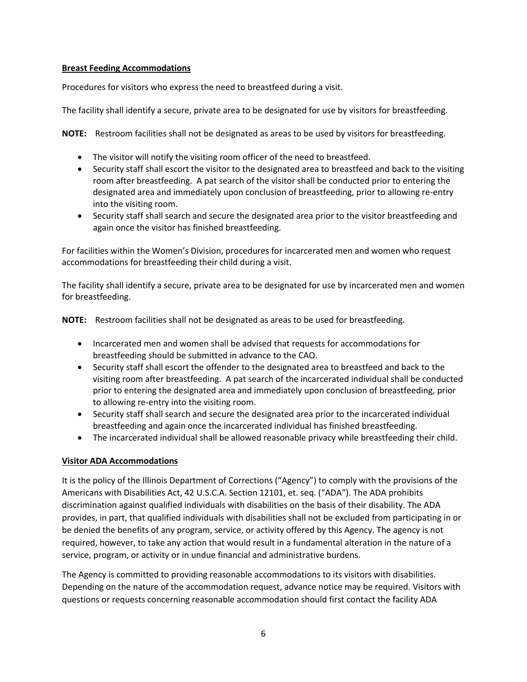#### **Breast Feeding Accommodations**

Procedures for visitors who express the need to breastfeed during a visit.

The facility shall identify a secure, private area to be designated for use by visitors for breastfeeding.

**NOTE:** Restroom facilities shall not be designated as areas to be used by visitors for breastfeeding.

- The visitor will notify the visiting room officer of the need to breastfeed.
- Security staff shall escort the visitor to the designated area to breastfeed and back to the visiting room after breastfeeding. A pat search of the visitor shall be conducted prior to entering the designated area and immediately upon conclusion of breastfeeding, prior to allowing re-entry into the visiting room.
- Security staff shall search and secure the designated area prior to the visitor breastfeeding and again once the visitor has finished breastfeeding.

For facilities within the Women's Division, procedures for incarcerated men and women who request accommodations for breastfeeding their child during a visit.

The facility shall identify a secure, private area to be designated for use by incarcerated men and women for breastfeeding.

**NOTE:** Restroom facilities shall not be designated as areas to be used for breastfeeding.

- Incarcerated men and women shall be advised that requests for accommodations for breastfeeding should be submitted in advance to the CAO.
- Security staff shall escort the offender to the designated area to breastfeed and back to the visiting room after breastfeeding. A pat search of the incarcerated individual shall be conducted prior to entering the designated area and immediately upon conclusion of breastfeeding, prior to allowing re-entry into the visiting room.
- Security staff shall search and secure the designated area prior to the incarcerated individual breastfeeding and again once the incarcerated individual has finished breastfeeding.
- The incarcerated individual shall be allowed reasonable privacy while breastfeeding their child.

#### **Visitor ADA Accommodations**

It is the policy of the Illinois Department of Corrections ("Agency") to comply with the provisions of the Americans with Disabilities Act, 42 U.S.C.A. Section 12101, et. seq. ("ADA"). The ADA prohibits discrimination against qualified individuals with disabilities on the basis of their disability. The ADA provides, in part, that qualified individuals with disabilities shall not be excluded from participating in or be denied the benefits of any program, service, or activity offered by this Agency. The agency is not required, however, to take any action that would result in a fundamental alteration in the nature of a service, program, or activity or in undue financial and administrative burdens.

The Agency is committed to providing reasonable accommodations to its visitors with disabilities. Depending on the nature of the accommodation request, advance notice may be required. Visitors with questions or requests concerning reasonable accommodation should first contact the facility ADA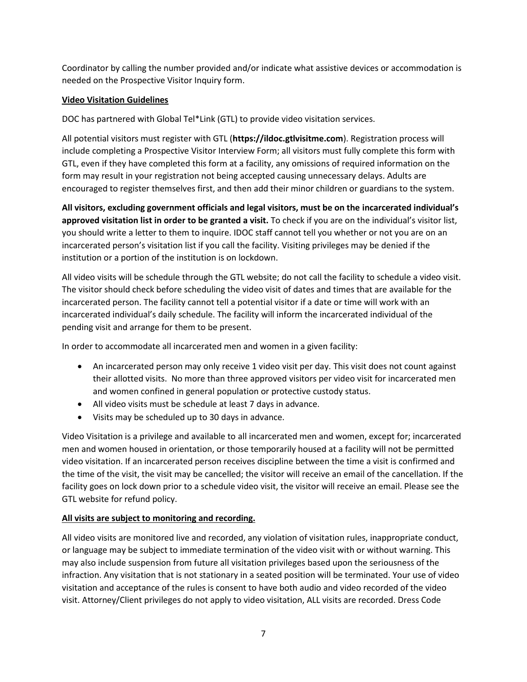Coordinator by calling the number provided and/or indicate what assistive devices or accommodation is needed on the Prospective Visitor Inquiry form.

### **Video Visitation Guidelines**

DOC has partnered with Global Tel\*Link (GTL) to provide video visitation services.

All potential visitors must register with GTL (**https://ildoc.gtlvisitme.com**). Registration process will include completing a Prospective Visitor Interview Form; all visitors must fully complete this form with GTL, even if they have completed this form at a facility, any omissions of required information on the form may result in your registration not being accepted causing unnecessary delays. Adults are encouraged to register themselves first, and then add their minor children or guardians to the system.

**All visitors, excluding government officials and legal visitors, must be on the incarcerated individual's approved visitation list in order to be granted a visit.** To check if you are on the individual's visitor list, you should write a letter to them to inquire. IDOC staff cannot tell you whether or not you are on an incarcerated person's visitation list if you call the facility. Visiting privileges may be denied if the institution or a portion of the institution is on lockdown.

All video visits will be schedule through the GTL website; do not call the facility to schedule a video visit. The visitor should check before scheduling the video visit of dates and times that are available for the incarcerated person. The facility cannot tell a potential visitor if a date or time will work with an incarcerated individual's daily schedule. The facility will inform the incarcerated individual of the pending visit and arrange for them to be present.

In order to accommodate all incarcerated men and women in a given facility:

- An incarcerated person may only receive 1 video visit per day. This visit does not count against their allotted visits. No more than three approved visitors per video visit for incarcerated men and women confined in general population or protective custody status.
- All video visits must be schedule at least 7 days in advance.
- Visits may be scheduled up to 30 days in advance.

Video Visitation is a privilege and available to all incarcerated men and women, except for; incarcerated men and women housed in orientation, or those temporarily housed at a facility will not be permitted video visitation. If an incarcerated person receives discipline between the time a visit is confirmed and the time of the visit, the visit may be cancelled; the visitor will receive an email of the cancellation. If the facility goes on lock down prior to a schedule video visit, the visitor will receive an email. Please see the GTL website for refund policy.

#### **All visits are subject to monitoring and recording.**

All video visits are monitored live and recorded, any violation of visitation rules, inappropriate conduct, or language may be subject to immediate termination of the video visit with or without warning. This may also include suspension from future all visitation privileges based upon the seriousness of the infraction. Any visitation that is not stationary in a seated position will be terminated. Your use of video visitation and acceptance of the rules is consent to have both audio and video recorded of the video visit. Attorney/Client privileges do not apply to video visitation, ALL visits are recorded. Dress Code